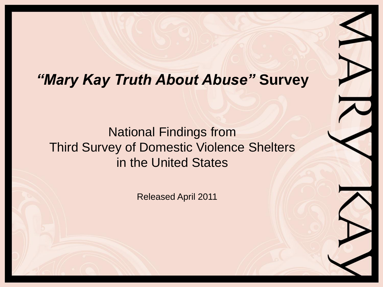### *"Mary Kay Truth About Abuse"* **Survey**

National Findings from Third Survey of Domestic Violence Shelters in the United States

Released April 2011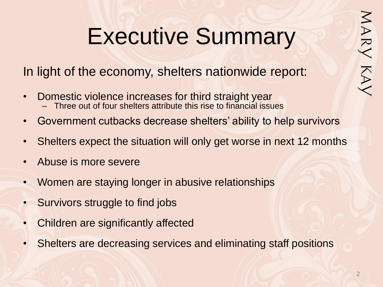# Executive Summary

In light of the economy, shelters nationwide report:

- Domestic violence increases for third straight year – Three out of four shelters attribute this rise to financial issues
- Government cutbacks decrease shelters' ability to help survivors
- Shelters expect the situation will only get worse in next 12 months
- Abuse is more severe
- Women are staying longer in abusive relationships
- Survivors struggle to find jobs
- Children are significantly affected
- Shelters are decreasing services and eliminating staff positions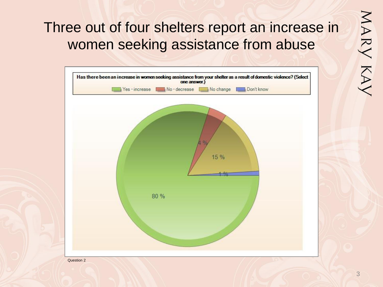# Three out of four shelters report an increase in women seeking assistance from abuse

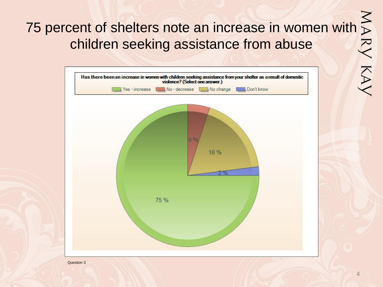# 75 percent of shelters note an increase in women with dildren assistance from abuse<br>  $\begin{array}{|l|l|}\hline \text{Has there been an increase in women with children seeking assistance from your shelf as a result of domestic}\\ \hline \end{array}$ children seeking assistance from abuse



4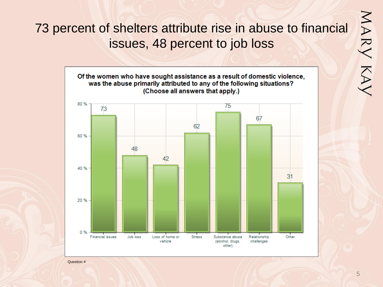# MARY KAY

### 73 percent of shelters attribute rise in abuse to financial issues, 48 percent to job loss

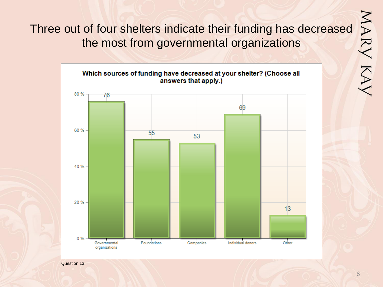Three out of four shelters indicate their funding has decreased the most from governmental organizations



Question 13

MARY KAY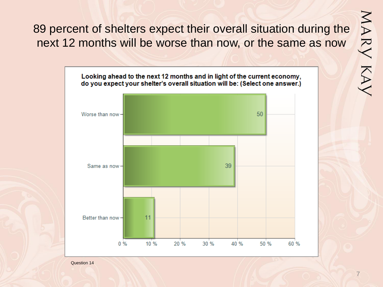MARY KAY

89 percent of shelters expect their overall situation during the next 12 months will be worse than now, or the same as now

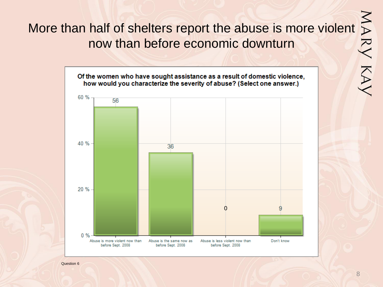# More than half of shelters report the abuse is more violent  $\sum_{n=1}^{\infty}$ <br>
now than before economic downturn now than before economic downturn

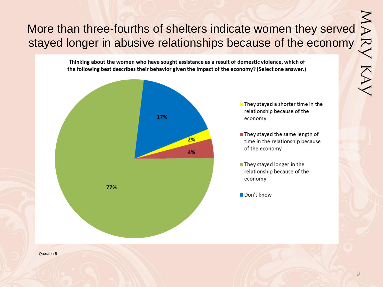# More than three-fourths of shelters indicate women they served<br>stayed longer in abusive relationships because of the economy<br> $\sum_{\text{Thinking about the women who have sought assistance as a result of domestic violence, which of the following best describes their behavior given the impact of the economy? (Select one answer.)}$ stayed longer in abusive relationships because of the economy

Thinking about the women who have sought assistance as a result of domestic violence, which of the following best describes their behavior given the impact of the economy? (Select one answer.)



 $\blacksquare$  They stayed a shorter time in the relationship because of the economy

- They stayed the same length of time in the relationship because of the economy
- They stayed longer in the relationship because of the economy

Don't know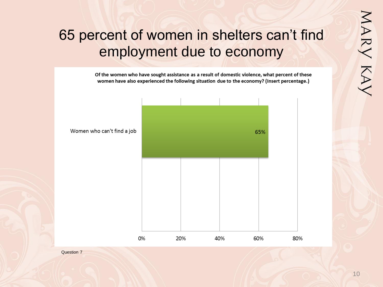## 65 percent of women in shelters can't find employment due to economy

Of the women who have sought assistance as a result of domestic violence, what percent of these women have also experienced the following situation due to the economy? (Insert percentage.)



Women who can't find a job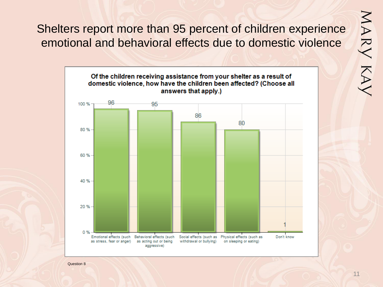MARY KAY

Shelters report more than 95 percent of children experience emotional and behavioral effects due to domestic violence

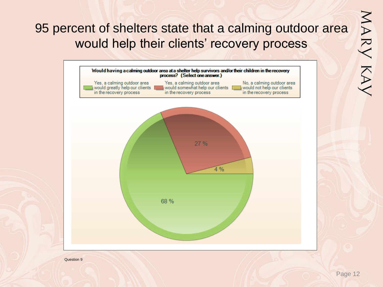### 95 percent of shelters state that a calming outdoor area would help their clients' recovery process

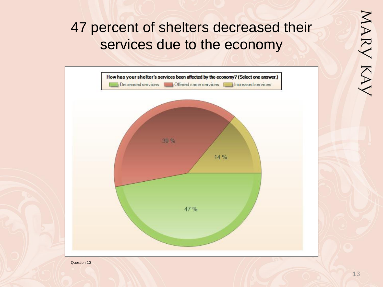# 47 percent of shelters decreased their services due to the economy

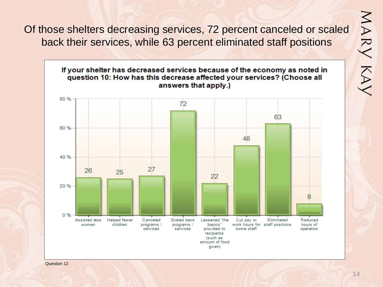Of those shelters decreasing services, 72 percent canceled or scaled back their services, while 63 percent eliminated staff positions



MARY KAY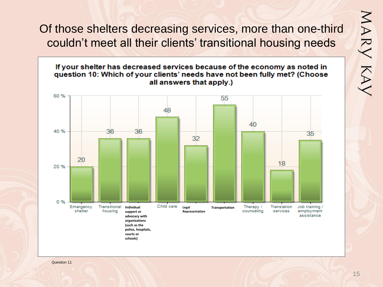Of those shelters decreasing services, more than one-third couldn't meet all their clients' transitional housing needs



MARY KAY